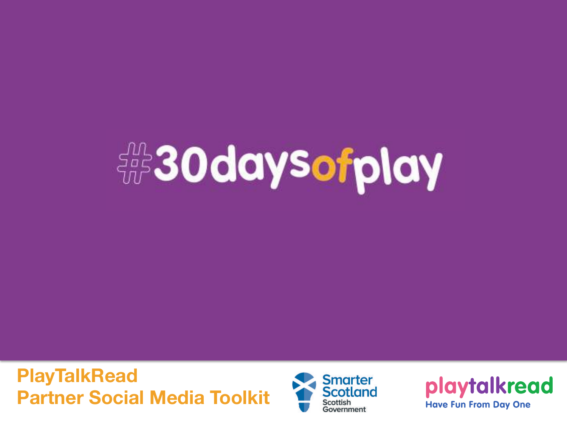# **FOR 30 days of play**

**PlayTalkRead Partner Social Media Toolkit**



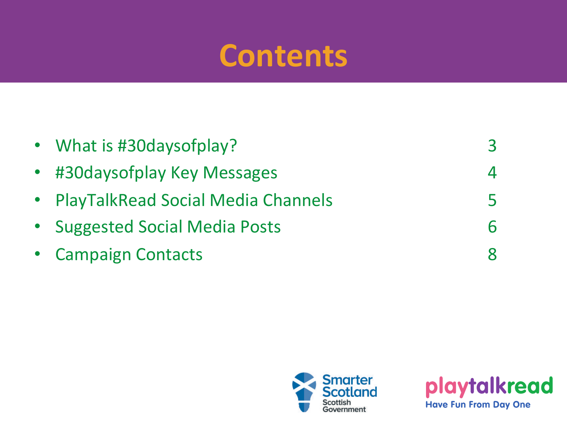### **Contents**

| • What is #30 days of play?          |  |
|--------------------------------------|--|
| • #30 days of play Key Messages      |  |
| • PlayTalkRead Social Media Channels |  |
| • Suggested Social Media Posts       |  |
| • Campaign Contacts                  |  |
|                                      |  |



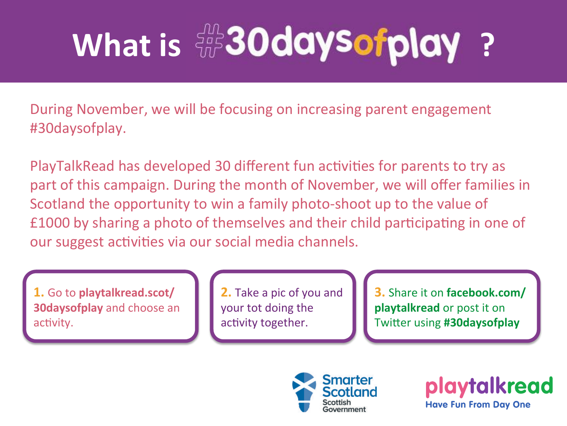## **What is**  $\frac{d}{d}$  **30daysofplay?**

During November, we will be focusing on increasing parent engagement #30daysofplay. 

PlayTalkRead has developed 30 different fun activities for parents to try as part of this campaign. During the month of November, we will offer families in Scotland the opportunity to win a family photo-shoot up to the value of £1000 by sharing a photo of themselves and their child participating in one of our suggest activities via our social media channels.

**1.** Go to **playtalkread.scot/ 30daysofplay** and choose an activity.

**2.** Take a pic of you and your tot doing the activity together.

**3.** Share it on facebook.com/ **playtalkread** or post it on **Twitter using #30daysofplay** 



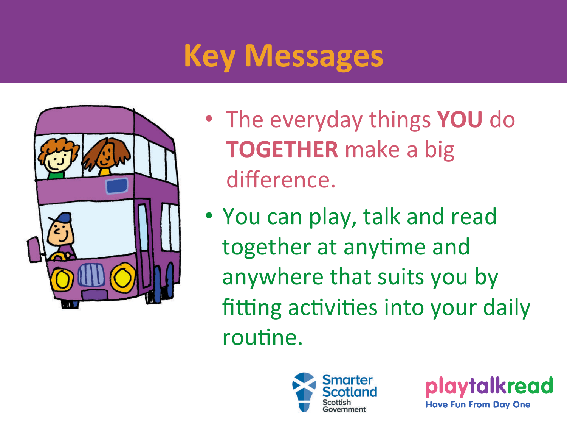## **Key Messages**



- The everyday things **YOU** do **TOGETHER** make a big difference.
- You can play, talk and read together at anytime and anywhere that suits you by fitting activities into your daily routine.



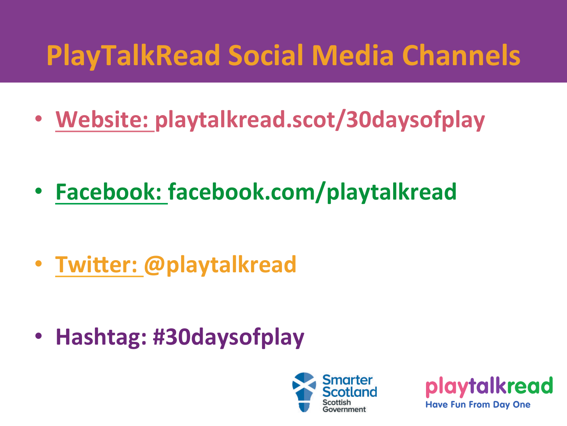## **PlayTalkRead Social Media Channels**

• Website: playtalkread.scot/30daysofplay

• **Facebook: facebook.com/playtalkread** 

**• Twitter: @playtalkread** 

• Hashtag: #30daysofplay



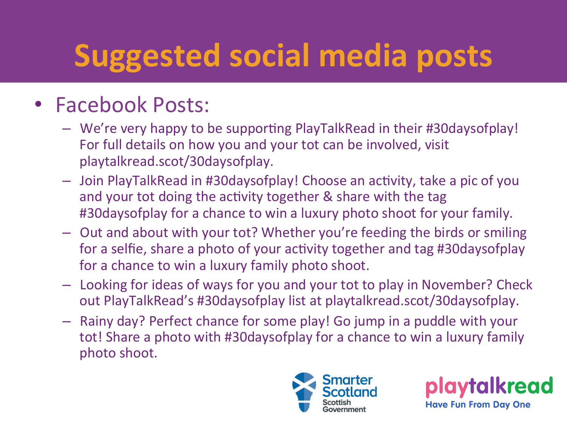## **Suggested social media posts**

#### • Facebook Posts:

- We're very happy to be supporting PlayTalkRead in their #30daysofplay! For full details on how you and your tot can be involved, visit playtalkread.scot/30daysofplay.
- $-$  Join PlayTalkRead in #30daysofplay! Choose an activity, take a pic of you and your tot doing the activity together & share with the tag #30daysofplay for a chance to win a luxury photo shoot for your family.
- $-$  Out and about with your tot? Whether you're feeding the birds or smiling for a selfie, share a photo of your activity together and tag #30daysofplay for a chance to win a luxury family photo shoot.
- Looking for ideas of ways for you and your tot to play in November? Check out PlayTalkRead's #30daysofplay list at playtalkread.scot/30daysofplay.
- $-$  Rainy day? Perfect chance for some play! Go jump in a puddle with your tot! Share a photo with #30daysofplay for a chance to win a luxury family photo shoot.



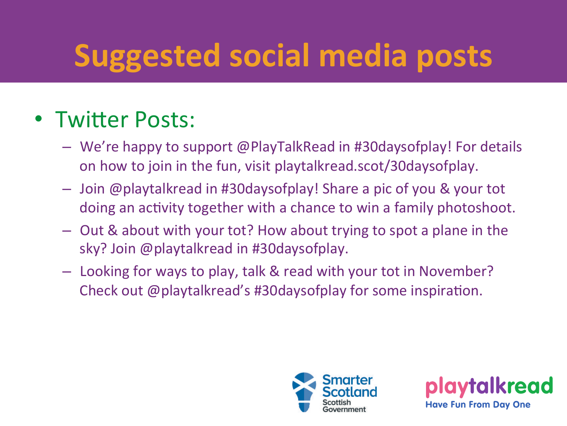## **Suggested social media posts**

#### • Twitter Posts:

- $-$  We're happy to support @PlayTalkRead in #30daysofplay! For details on how to join in the fun, visit playtalkread.scot/30daysofplay.
- $-$  Join @playtalkread in #30daysofplay! Share a pic of you & your tot doing an activity together with a chance to win a family photoshoot.
- $-$  Out & about with your tot? How about trying to spot a plane in the sky? Join @playtalkread in #30daysofplay.
- $-$  Looking for ways to play, talk & read with your tot in November? Check out  $@$  playtalkread's #30daysofplay for some inspiration.